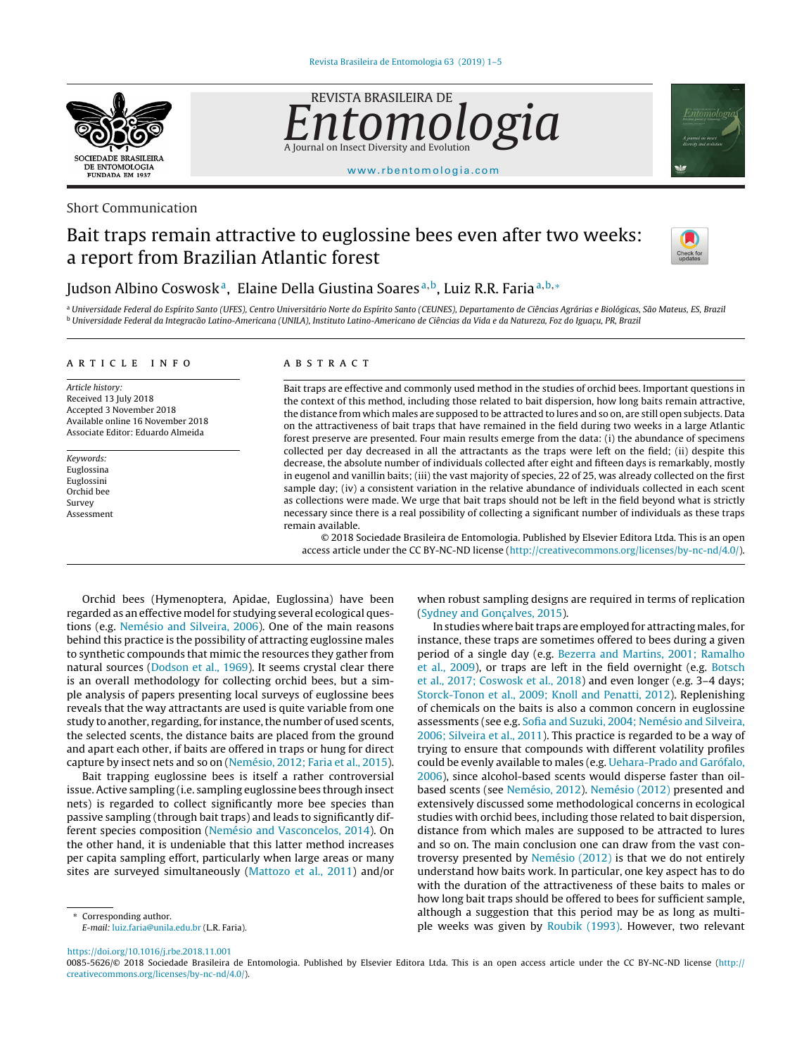

Short Communication

dgia A Journal on Insect Diversity and Evolution

REVISTA BRASILEIRA DE



[www.rbentomologia.com](http://www.rbentomologia.com)

# Bait traps remain attractive to euglossine bees even after two weeks: a report from Brazilian Atlantic forest



## Judson Albino Coswosk<sup>a</sup>, Elaine Della Giustina Soares<sup>a, b</sup>, Luiz R.R. Faria<sup>a, b,</sup> ∗

a Universidade Federal do Espírito Santo (UFES), Centro Universitário Norte do Espírito Santo (CEUNES), Departamento de Ciências Agrárias e Biológicas, São Mateus, ES, Brazil <sup>b</sup> Universidade Federal da Integracão Latino-Americana (UNILA), Instituto Latino-Americano de Ciências da Vida e da Natureza, Foz do Iguacu, PR, Brazil

#### a r t i c l e i n f o

Article history: Received 13 July 2018 Accepted 3 November 2018 Available online 16 November 2018 Associate Editor: Eduardo Almeida

Keywords: Euglossina Euglossini Orchid bee Survey Assessment

#### A B S T R A C T

Bait traps are effective and commonly used method in the studies of orchid bees. Important questions in the context of this method, including those related to bait dispersion, how long baits remain attractive, the distance from which males are supposed to be attracted to lures and so on, are still open subjects. Data on the attractiveness of bait traps that have remained in the field during two weeks in a large Atlantic forest preserve are presented. Four main results emerge from the data: (i) the abundance of specimens collected per day decreased in all the attractants as the traps were left on the field; (ii) despite this decrease, the absolute number of individuals collected after eight and fifteen days is remarkably, mostly in eugenol and vanillin baits; (iii) the vast majority of species, 22 of 25, was already collected on the first sample day; (iv) a consistent variation in the relative abundance of individuals collected in each scent as collections were made. We urge that bait traps should not be left in the field beyond what is strictly necessary since there is a real possibility of collecting a significant number of individuals as these traps remain available.

© 2018 Sociedade Brasileira de Entomologia. Published by Elsevier Editora Ltda. This is an open access article under the CC BY-NC-ND license [\(http://creativecommons.org/licenses/by-nc-nd/4.0/](http://creativecommons.org/licenses/by-nc-nd/4.0/)).

Orchid bees (Hymenoptera, Apidae, Euglossina) have been regarded as an effective model for studying several ecological questions (e.g. [Nemésio](#page-3-0) [and](#page-3-0) [Silveira,](#page-3-0) [2006\).](#page-3-0) One of the main reasons behind this practice is the possibility of attracting euglossine males to synthetic compounds that mimic the resources they gather from natural sources ([Dodson](#page-3-0) et [al.,](#page-3-0) [1969\).](#page-3-0) It seems crystal clear there is an overall methodology for collecting orchid bees, but a simple analysis of papers presenting local surveys of euglossine bees reveals that the way attractants are used is quite variable from one study to another, regarding, for instance, the number of used scents, the selected scents, the distance baits are placed from the ground and apart each other, if baits are offered in traps or hung for direct capture by insect nets and so on [\(Nemésio,](#page-3-0) [2012;](#page-3-0) [Faria](#page-3-0) et [al.,](#page-3-0) [2015\).](#page-3-0)

Bait trapping euglossine bees is itself a rather controversial issue. Active sampling (i.e. sampling euglossine bees through insect nets) is regarded to collect significantly more bee species than passive sampling (through bait traps) and leads to significantly different species composition [\(Nemésio](#page-3-0) [and](#page-3-0) [Vasconcelos,](#page-3-0) [2014\).](#page-3-0) On the other hand, it is undeniable that this latter method increases per capita sampling effort, particularly when large areas or many sites are surveyed simultaneously ([Mattozo](#page-3-0) et [al.,](#page-3-0) [2011\)](#page-3-0) and/or

Corresponding author.

E-mail: [luiz.faria@unila.edu.br](mailto:luiz.faria@unila.edu.br) (L.R. Faria).

<https://doi.org/10.1016/j.rbe.2018.11.001>

when robust sampling designs are required in terms of replication [\(Sydney](#page-4-0) [and](#page-4-0) Gonç[alves,](#page-4-0) [2015\).](#page-4-0)

In studies where bait traps are employed for attracting males, for instance, these traps are sometimes offered to bees during a given period of a single day (e.g. [Bezerra](#page-3-0) [and](#page-3-0) [Martins,](#page-3-0) [2001;](#page-3-0) [Ramalho](#page-3-0) et [al.,](#page-3-0) [2009\),](#page-3-0) or traps are left in the field overnight (e.g. [Botsch](#page-3-0) et [al.,](#page-3-0) [2017;](#page-3-0) [Coswosk](#page-3-0) et [al.,](#page-3-0) [2018\)](#page-3-0) and even longer (e.g. 3–4 days; [Storck-Tonon](#page-4-0) et [al.,](#page-4-0) [2009;](#page-4-0) [Knoll](#page-4-0) [and](#page-4-0) [Penatti,](#page-4-0) [2012\).](#page-4-0) Replenishing of chemicals on the baits is also a common concern in euglossine assessments (see e.g. [Sofia](#page-4-0) [and](#page-4-0) [Suzuki,](#page-4-0) [2004;](#page-4-0) [Nemésio](#page-4-0) [and](#page-4-0) [Silveira,](#page-4-0) [2006;](#page-4-0) [Silveira](#page-4-0) et [al.,](#page-4-0) [2011\).](#page-4-0) This practice is regarded to be a way of trying to ensure that compounds with different volatility profiles could be evenly available to males (e.g. [Uehara-Prado](#page-4-0) [and](#page-4-0) [Garófalo,](#page-4-0) [2006\),](#page-4-0) since alcohol-based scents would disperse faster than oilbased scents (see [Nemésio,](#page-3-0) [2012\).](#page-3-0) [Nemésio](#page-3-0) [\(2012\)](#page-3-0) presented and extensively discussed some methodological concerns in ecological studies with orchid bees, including those related to bait dispersion, distance from which males are supposed to be attracted to lures and so on. The main conclusion one can draw from the vast controversy presented by [Nemésio](#page-3-0) [\(2012\)](#page-3-0) is that we do not entirely understand how baits work. In particular, one key aspect has to do with the duration of the attractiveness of these baits to males or how long bait traps should be offered to bees for sufficient sample, although a suggestion that this period may be as long as multiple weeks was given by [Roubik](#page-4-0) [\(1993\).](#page-4-0) However, two relevant

0085-5626/© 2018 Sociedade Brasileira de Entomologia. Published by Elsevier Editora Ltda. This is an open access article under the CC BY-NC-ND license ([http://](http://creativecommons.org/licenses/by-nc-nd/4.0/) [creativecommons.org/licenses/by-nc-nd/4.0/](http://creativecommons.org/licenses/by-nc-nd/4.0/)).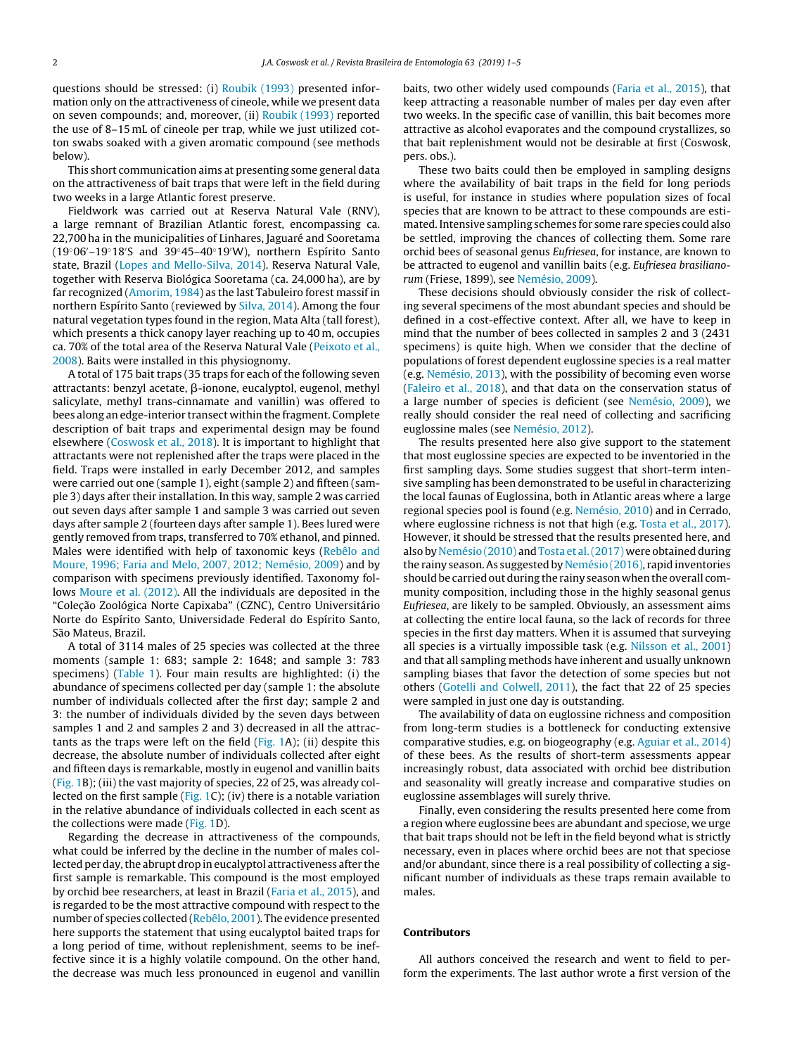questions should be stressed: (i) [Roubik](#page-4-0) [\(1993\)](#page-4-0) presented information only on the attractiveness of cineole, while we present data on seven compounds; and, moreover, (ii) [Roubik](#page-4-0) [\(1993\)](#page-4-0) reported the use of 8–15 mL of cineole per trap, while we just utilized cotton swabs soaked with a given aromatic compound (see methods below).

This short communication aims at presenting some general data on the attractiveness of bait traps that were left in the field during two weeks in a large Atlantic forest preserve.

Fieldwork was carried out at Reserva Natural Vale (RNV), a large remnant of Brazilian Atlantic forest, encompassing ca. 22,700 ha in the municipalities of Linhares, Jaguaré and Sooretama (19◦06 –19◦18 S and 39◦45–40◦19 W), northern Espírito Santo state, Brazil [\(Lopes](#page-3-0) [and](#page-3-0) [Mello-Silva,](#page-3-0) [2014\).](#page-3-0) Reserva Natural Vale, together with Reserva Biológica Sooretama (ca. 24,000 ha), are by far recognized ([Amorim,](#page-3-0) [1984\)](#page-3-0) as the last Tabuleiro forest massif in northern Espírito Santo (reviewed by [Silva,](#page-4-0) [2014\).](#page-4-0) Among the four natural vegetation types found in the region, Mata Alta (tall forest), which presents a thick canopy layer reaching up to 40 m, occupies ca. 70% of the total area of the Reserva Natural Vale [\(Peixoto](#page-4-0) et [al.,](#page-4-0) [2008\).](#page-4-0) Baits were installed in this physiognomy.

A total of 175 bait traps (35 traps for each of the following seven attractants: benzyl acetate, β-ionone, eucalyptol, eugenol, methyl salicylate, methyl trans-cinnamate and vanillin) was offered to bees along an edge-interior transect within the fragment. Complete description of bait traps and experimental design may be found elsewhere ([Coswosk](#page-3-0) et [al.,](#page-3-0) [2018\).](#page-3-0) It is important to highlight that attractants were not replenished after the traps were placed in the field. Traps were installed in early December 2012, and samples were carried out one (sample 1), eight (sample 2) and fifteen (sample 3) days after their installation. In this way, sample 2 was carried out seven days after sample 1 and sample 3 was carried out seven days after sample 2 (fourteen days after sample 1). Bees lured were gently removed from traps, transferred to 70% ethanol, and pinned. Males were identified with help of taxonomic keys [\(Rebêlo](#page-4-0) [and](#page-4-0) [Moure,](#page-4-0) [1996;](#page-4-0) [Faria](#page-4-0) [and](#page-4-0) [Melo,](#page-4-0) [2007,](#page-4-0) [2012;](#page-4-0) [Nemésio,](#page-4-0) [2009\)](#page-4-0) and by comparison with specimens previously identified. Taxonomy follows [Moure](#page-3-0) et [al.](#page-3-0) [\(2012\).](#page-3-0) All the individuals are deposited in the "Coleção Zoológica Norte Capixaba" (CZNC), Centro Universitário Norte do Espírito Santo, Universidade Federal do Espírito Santo, São Mateus, Brazil.

A total of 3114 males of 25 species was collected at the three moments (sample 1: 683; sample 2: 1648; and sample 3: 783 specimens) ([Table](#page-2-0) 1). Four main results are highlighted: (i) the abundance of specimens collected per day (sample 1: the absolute number of individuals collected after the first day; sample 2 and 3: the number of individuals divided by the seven days between samples 1 and 2 and samples 2 and 3) decreased in all the attractants as the traps were left on the field ([Fig.](#page-3-0) 1A); (ii) despite this decrease, the absolute number of individuals collected after eight and fifteen days is remarkable, mostly in eugenol and vanillin baits ([Fig.](#page-3-0) 1B); (iii) the vast majority of species, 22 of 25, was already collected on the first sample [\(Fig.](#page-3-0) 1C); (iv) there is a notable variation in the relative abundance of individuals collected in each scent as the collections were made [\(Fig.](#page-3-0) 1D).

Regarding the decrease in attractiveness of the compounds, what could be inferred by the decline in the number of males collected per day, the abrupt drop in eucalyptol attractiveness after the first sample is remarkable. This compound is the most employed by orchid bee researchers, at least in Brazil ([Faria](#page-3-0) et [al.,](#page-3-0) [2015\),](#page-3-0) and is regarded to be the most attractive compound with respect to the number of species collected ([Rebêlo,](#page-4-0) [2001\).](#page-4-0) The evidence presented here supports the statement that using eucalyptol baited traps for a long period of time, without replenishment, seems to be ineffective since it is a highly volatile compound. On the other hand, the decrease was much less pronounced in eugenol and vanillin

baits, two other widely used compounds [\(Faria](#page-3-0) et [al.,](#page-3-0) [2015\),](#page-3-0) that keep attracting a reasonable number of males per day even after two weeks. In the specific case of vanillin, this bait becomes more attractive as alcohol evaporates and the compound crystallizes, so that bait replenishment would not be desirable at first (Coswosk, pers. obs.).

These two baits could then be employed in sampling designs where the availability of bait traps in the field for long periods is useful, for instance in studies where population sizes of focal species that are known to be attract to these compounds are estimated. Intensive sampling schemes for some rare species could also be settled, improving the chances of collecting them. Some rare orchid bees of seasonal genus Eufriesea, for instance, are known to be attracted to eugenol and vanillin baits (e.g. Eufriesea brasilianorum (Friese, 1899), see [Nemésio,](#page-3-0) [2009\).](#page-3-0)

These decisions should obviously consider the risk of collecting several specimens of the most abundant species and should be defined in a cost-effective context. After all, we have to keep in mind that the number of bees collected in samples 2 and 3 (2431 specimens) is quite high. When we consider that the decline of populations of forest dependent euglossine species is a real matter (e.g. [Nemésio,](#page-3-0) [2013\),](#page-3-0) with the possibility of becoming even worse [\(Faleiro](#page-3-0) et [al.,](#page-3-0) [2018\),](#page-3-0) and that data on the conservation status of a large number of species is deficient (see [Nemésio,](#page-3-0) [2009\),](#page-3-0) we really should consider the real need of collecting and sacrificing euglossine males (see [Nemésio,](#page-3-0) [2012\).](#page-3-0)

The results presented here also give support to the statement that most euglossine species are expected to be inventoried in the first sampling days. Some studies suggest that short-term intensive sampling has been demonstrated to be useful in characterizing the local faunas of Euglossina, both in Atlantic areas where a large regional species pool is found (e.g. [Nemésio,](#page-3-0) [2010\)](#page-3-0) and in Cerrado, where euglossine richness is not that high (e.g. [Tosta](#page-4-0) et [al.,](#page-4-0) [2017\).](#page-4-0) However, it should be stressed that the results presented here, and also by [Nemésio](#page-3-0) [\(2010\)](#page-3-0) and [Tosta](#page-4-0) et [al.\(2017\)](#page-4-0) were obtained during the rainy season.As suggested by [Nemésio](#page-3-0) [\(2016\),](#page-3-0) rapid inventories should be carried out during the rainy season when the overall community composition, including those in the highly seasonal genus Eufriesea, are likely to be sampled. Obviously, an assessment aims at collecting the entire local fauna, so the lack of records for three species in the first day matters. When it is assumed that surveying all species is a virtually impossible task (e.g. [Nilsson](#page-4-0) et [al.,](#page-4-0) [2001\)](#page-4-0) and that all sampling methods have inherent and usually unknown sampling biases that favor the detection of some species but not others ([Gotelli](#page-3-0) [and](#page-3-0) [Colwell,](#page-3-0) [2011\),](#page-3-0) the fact that 22 of 25 species were sampled in just one day is outstanding.

The availability of data on euglossine richness and composition from long-term studies is a bottleneck for conducting extensive comparative studies, e.g. on biogeography (e.g. [Aguiar](#page-3-0) et [al.,](#page-3-0) [2014\)](#page-3-0) of these bees. As the results of short-term assessments appear increasingly robust, data associated with orchid bee distribution and seasonality will greatly increase and comparative studies on euglossine assemblages will surely thrive.

Finally, even considering the results presented here come from a region where euglossine bees are abundant and speciose, we urge that bait traps should not be left in the field beyond what is strictly necessary, even in places where orchid bees are not that speciose and/or abundant, since there is a real possibility of collecting a significant number of individuals as these traps remain available to males.

#### **Contributors**

All authors conceived the research and went to field to perform the experiments. The last author wrote a first version of the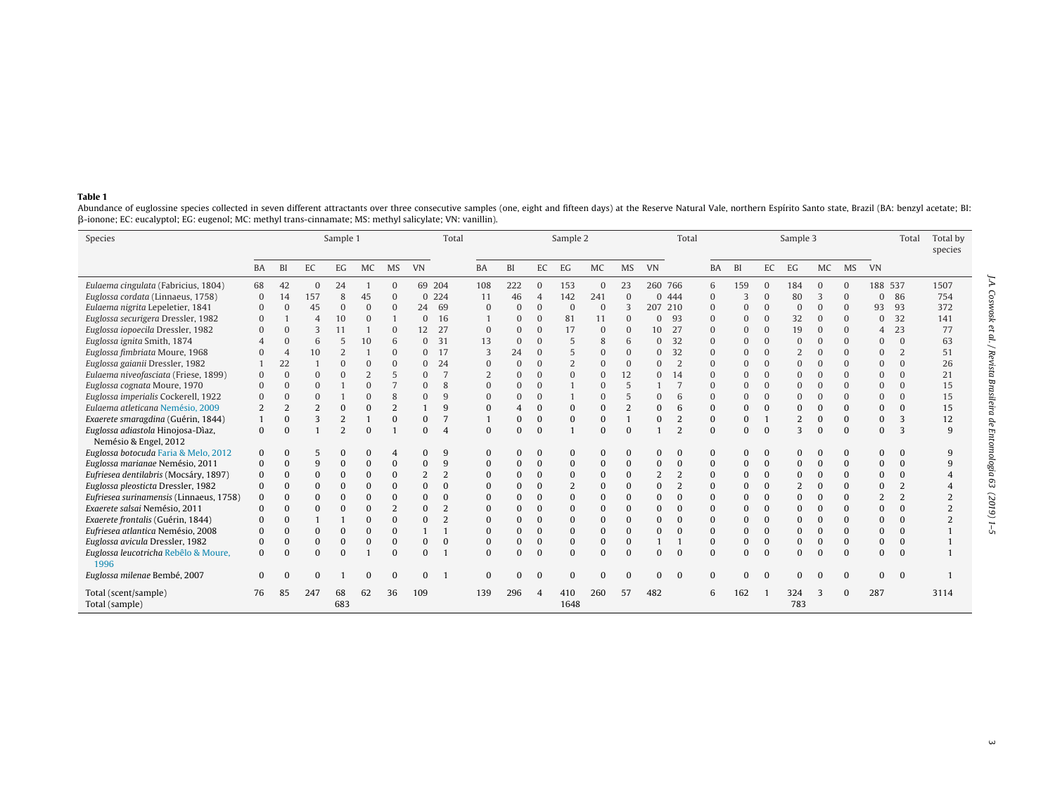#### <span id="page-2-0"></span>**Table 1**

Abundance of euglossine species collected in seven different attractants over three consecutive samples (one, eight and fifteen days) at the Reserve Natural Vale, northern Espírito Santo state, Brazil (BA: benzyl acetate; --ionone; EC: eucalyptol; EG: eugenol; MC: methyl trans-cinnamate; MS: methyl salicylate; VN: vanillin).

| Species                                                    | Sample 1  |                |                |                |              |                | Total          |                | Sample 2<br>Total |          |                |                |              |                |                |                | Sample 3     |           |          |                |             |           | Total     | Total by<br>species |      |
|------------------------------------------------------------|-----------|----------------|----------------|----------------|--------------|----------------|----------------|----------------|-------------------|----------|----------------|----------------|--------------|----------------|----------------|----------------|--------------|-----------|----------|----------------|-------------|-----------|-----------|---------------------|------|
|                                                            | <b>BA</b> | BI             | EC             | EG             | MC           | <b>MS</b>      | <b>VN</b>      |                | <b>BA</b>         | BI       | EC             | EG             | <b>MC</b>    | <b>MS</b>      | <b>VN</b>      |                | <b>BA</b>    | <b>BI</b> | EC       | EG             | <b>MC</b>   | <b>MS</b> | <b>VN</b> |                     |      |
| Eulaema cingulata (Fabricius, 1804)                        | 68        | 42             | $\Omega$       | 24             |              | $\Omega$       | 69 204         |                | 108               | 222      | 0              | 153            | $\Omega$     | 23             | 260 766        |                | 6            | 159       | $\Omega$ | 184            | $\Omega$    |           | 188       | 537                 | 1507 |
| Euglossa cordata (Linnaeus, 1758)                          | $\Omega$  | 14             | 157            | 8              | 45           | $\Omega$       |                | 0 224          | 11                | 46       | $\overline{4}$ | 142            | 241          | $\Omega$       | 0 4 4 4        |                | $\Omega$     | 3         | $\Omega$ | 80             | 3           |           | $\Omega$  | 86                  | 754  |
| Eulaema nigrita Lepeletier, 1841                           | $\Omega$  | $\Omega$       | 45             | $\Omega$       | $\Omega$     | $\Omega$       | 24             | 69             | 0                 |          | $\Omega$       | $\Omega$       | $\mathbf{0}$ | 3              | 207 210        |                | $\Omega$     | $\Omega$  | $\Omega$ | 0              | $\Omega$    |           | 93        | 93                  | 372  |
| Euglossa securigera Dressler, 1982                         | 0         |                | $\overline{A}$ | 10             | $\mathbf{0}$ |                | $\Omega$       | 16             |                   | 0        | C              | 81             | 11           | $\Omega$       | 0              | -93            | $\mathbf{0}$ | 0         | $\Omega$ | 32             | $\mathbf 0$ | $\Omega$  | $\Omega$  | 32                  | 141  |
| Euglossa iopoecila Dressler, 1982                          |           | $\Omega$       | 3              | 11             |              | $\Omega$       | 12             | 27             | $\Omega$          |          | $\Omega$       | 17             | $\Omega$     | $\Omega$       | 10             | 27             | $\Omega$     | 0         | $\Omega$ | 19             | $\Omega$    | $\Omega$  | 4         | 23                  | 77   |
| Euglossa ignita Smith, 1874                                |           | $\Omega$       | 6              | 5              | 10           | 6              | $\Omega$       | 31             | 13                | $\Omega$ |                | 5              | 8            | 6              | $\Omega$       | 32             | $\Omega$     | 0         | $\Omega$ | 0              |             |           | $\Omega$  | $\mathbf{0}$        | 63   |
| Euglossa fimbriata Moure, 1968                             |           | $\overline{4}$ | 10             | $\overline{2}$ |              | $\Omega$       | $\Omega$       | 17             | 3                 | 24       | $\Omega$       | 5              | $\Omega$     | $\Omega$       | $\Omega$       | 32             | $\Omega$     | 0         | $\Omega$ | $\overline{2}$ | $\Omega$    |           | $\Omega$  | $\overline{2}$      | 51   |
| Euglossa gaianii Dressler, 1982                            |           | 22             |                | $\Omega$       | $\Omega$     | $\Omega$       | $\Omega$       | 24             | $\Omega$          |          | $\Omega$       | $\overline{2}$ | $\Omega$     | $\Omega$       | $\Omega$       | $\overline{2}$ | $\Omega$     | O         | $\Omega$ | $\Omega$       | $\Omega$    |           | $\Omega$  | $\mathbf{0}$        | 26   |
| Eulaema niveofasciata (Friese, 1899)                       |           | $\Omega$       |                |                |              | 5              | $\Omega$       |                |                   |          | $\Omega$       |                | $\Omega$     | 12             | $\Omega$       | 14             | $\Omega$     | 0         | $\Omega$ | $\overline{0}$ |             |           | $\Omega$  | $\Omega$            | 21   |
| Euglossa cognata Moure, 1970                               |           | $\Omega$       |                |                | O            |                | $\Omega$       | $\mathcal{R}$  |                   |          | $\Omega$       |                | $\Omega$     | 5              |                |                | $\Omega$     |           | $\Omega$ | $\overline{0}$ |             | $\Omega$  | $\Omega$  | $\Omega$            | 15   |
| Euglossa imperialis Cockerell, 1922                        |           | $\Omega$       |                |                |              | 8              |                |                | $\Omega$          |          | $\Omega$       |                | $\Omega$     | 5              |                | 6              | $\Omega$     |           | $\Omega$ | $\Omega$       |             |           | $\Omega$  | $\mathbf{0}$        | 15   |
| Eulaema atleticana Nemésio, 2009                           |           | $\overline{2}$ | 2              | $\mathbf{0}$   |              | $\overline{2}$ |                | q              |                   |          | 0              |                | 0            | $\overline{2}$ | 0              | 6              | $\Omega$     | 0         | $\Omega$ | 0              |             |           | $\Omega$  | $\mathbf{0}$        | 15   |
| Exaerete smaragdina (Guérin, 1844)                         |           | $\Omega$       | 3              | $\overline{2}$ |              | $\Omega$       | $\Omega$       |                |                   |          | $\mathbf 0$    | 0              | $\mathbf{0}$ |                | 0              | $\overline{2}$ | $\bf{0}$     | $\bf{0}$  |          | $\overline{2}$ | $\Omega$    | $\Omega$  | $\Omega$  | 3                   | 12   |
| Euglossa adiastola Hinojosa-Dìaz,<br>Nemésio & Engel, 2012 | 0         | $\Omega$       |                | $\overline{2}$ |              |                | $\Omega$       |                | $\Omega$          |          | $\Omega$       |                | $\Omega$     | $\Omega$       |                | $\mathcal{D}$  | $\Omega$     | $\Omega$  | $\Omega$ | 3              | $\Omega$    | $\Omega$  | $\Omega$  | 3                   | 9    |
| Euglossa botocuda Faria & Melo, 2012                       | 0         | $\Omega$       | 5              |                |              | $\overline{4}$ | $\Omega$       |                | 0                 |          | C              | 0              | 0            | $\Omega$       | 0              |                | $\bf{0}$     | 0         | $\Omega$ | 0              |             |           | $\Omega$  | $\mathbf{0}$        | 9    |
| Euglossa marianae Nemésio, 2011                            |           | $\mathbf{0}$   | 9              | $\Omega$       |              | $\Omega$       | $\Omega$       | 9              | 0                 |          | C              | 0              | $\mathbf{0}$ | $\Omega$       | 0              |                | $\bf{0}$     | 0         | $\Omega$ | 0              |             |           | $\Omega$  | $\mathbf{0}$        | 9    |
| Eufriesea dentilabris (Mocsáry, 1897)                      | $\Omega$  | $\Omega$       | $\Omega$       | $\Omega$       |              | $\Omega$       | $\overline{2}$ | $\overline{2}$ |                   |          | $\Omega$       | $\Omega$       | $\Omega$     | $\Omega$       | $\overline{2}$ | $\overline{2}$ | $\mathbf{0}$ | 0         | $\Omega$ | $\Omega$       | $\Omega$    |           | $\Omega$  | $\Omega$            |      |
| Euglossa pleosticta Dressler, 1982                         |           | $\Omega$       | $\Omega$       | $\Omega$       |              | $\Omega$       | $\Omega$       | $\Omega$       | 0                 |          | $\Omega$       |                | 0            | $\Omega$       | 0              | $\overline{2}$ | $\Omega$     | 0         | $\Omega$ | $\overline{2}$ | $\Omega$    |           | $\Omega$  | $\overline{2}$      |      |
| Eufriesea surinamensis (Linnaeus, 1758)                    |           | $\Omega$       |                | $\Omega$       |              | $\Omega$       | $\Omega$       |                |                   |          |                | 0              | $\Omega$     | $\Omega$       | 0              |                | $\Omega$     | 0         | $\Omega$ | 0              |             |           |           | 2                   |      |
| Exaerete salsai Nemésio, 2011                              |           | $\Omega$       | $\Omega$       | $\Omega$       |              | $\overline{2}$ | $\Omega$       |                |                   |          | $\Omega$       | O              | $\Omega$     | $\Omega$       | $\Omega$       |                | $\Omega$     |           | $\Omega$ | $\Omega$       |             |           | $\Omega$  | $\Omega$            |      |
| Exaerete frontalis (Guérin, 1844)                          |           | $\Omega$       |                |                |              | $\Omega$       | $\Omega$       | $\mathcal{L}$  | 0                 |          |                |                | $\Omega$     | $\Omega$       |                |                | $\Omega$     | 0         | $\Omega$ | $\Omega$       |             |           | $\Omega$  | $\Omega$            |      |
| Eufriesea atlantica Nemésio, 2008                          |           | $\Omega$       | $\Omega$       | $\Omega$       |              | $\Omega$       |                |                | 0                 |          | $\Omega$       | O              | $\Omega$     | $\bf{0}$       | 0              |                | $\Omega$     | 0         | $\Omega$ | 0              | $\Omega$    |           | $\Omega$  | $\Omega$            |      |
| Euglossa avicula Dressler, 1982                            | O         | $\Omega$       | $\Omega$       | $\Omega$       |              | $\Omega$       | $\Omega$       | $\Omega$       | $\Omega$          | 0        | $\Omega$       | 0              | $\Omega$     | $\Omega$       |                |                | $\Omega$     | 0         | $\Omega$ | $\Omega$       | $\Omega$    | $\Omega$  | $\Omega$  | $\Omega$            |      |
| Euglossa leucotricha Rebêlo & Moure,<br>1996               | $\Omega$  | $\Omega$       | $\Omega$       | $\Omega$       |              | $\Omega$       | $\Omega$       |                | $\Omega$          |          | $\sqrt{ }$     | $\Omega$       | $\Omega$     | $\Omega$       | O              | $\Omega$       | $\Omega$     | $\Omega$  | $\Omega$ | 0              |             | $\Omega$  | $\Omega$  | $\Omega$            |      |
| Euglossa milenae Bembé, 2007                               |           |                |                |                |              | $\Omega$       |                |                |                   |          |                |                | $\Omega$     |                |                | $\Omega$       | $\Omega$     | 0         |          |                |             |           | $\Omega$  | $\Omega$            |      |
| Total (scent/sample)<br>Total (sample)                     | 76        | 85             | 247            | 68<br>683      | 62           | 36             | 109            |                | 139               | 296      |                | 410<br>1648    | 260          | 57             | 482            |                | 6            | 162       |          | 324<br>783     |             |           | 287       |                     | 3114 |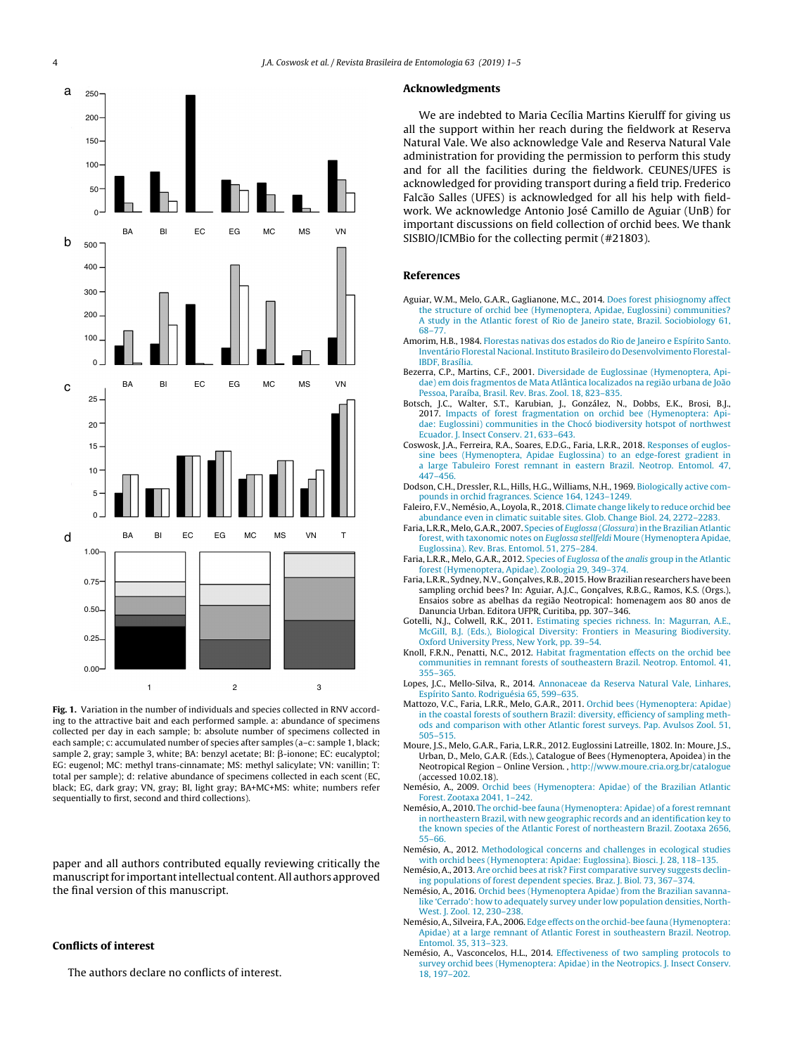<span id="page-3-0"></span>

**Fig. 1.** Variation in the number of individuals and species collected in RNV according to the attractive bait and each performed sample. a: abundance of specimens collected per day in each sample; b: absolute number of specimens collected in each sample; c: accumulated number of species after samples (a–c: sample 1, black; sample 2, gray; sample 3, white; BA: benzyl acetate; BI: β-ionone; EC: eucalyptol; EG: eugenol; MC: methyl trans-cinnamate; MS: methyl salicylate; VN: vanillin; T: total per sample); d: relative abundance of specimens collected in each scent (EC, black; EG, dark gray; VN, gray; BI, light gray; BA+MC+MS: white; numbers refer sequentially to first, second and third collections).

paper and all authors contributed equally reviewing critically the manuscript for important intellectual content. All authors approved the final version of this manuscript.

#### **Conflicts of interest**

The authors declare no conflicts of interest.

#### **Acknowledgments**

We are indebted to Maria Cecília Martins Kierulff for giving us all the support within her reach during the fieldwork at Reserva Natural Vale. We also acknowledge Vale and Reserva Natural Vale administration for providing the permission to perform this study and for all the facilities during the fieldwork. CEUNES/UFES is acknowledged for providing transport during a field trip. Frederico Falcão Salles (UFES) is acknowledged for all his help with fieldwork. We acknowledge Antonio José Camillo de Aguiar (UnB) for important discussions on field collection of orchid bees. We thank SISBIO/ICMBio for the collecting permit (#21803).

### **References**

- Aguiar, W.M., Melo, G.A.R., Gaglianone, M.C., 2014. [Does](http://refhub.elsevier.com/S0085-5626(18)30090-6/sbref0005) [forest](http://refhub.elsevier.com/S0085-5626(18)30090-6/sbref0005) [phisiognomy](http://refhub.elsevier.com/S0085-5626(18)30090-6/sbref0005) [affect](http://refhub.elsevier.com/S0085-5626(18)30090-6/sbref0005) [the](http://refhub.elsevier.com/S0085-5626(18)30090-6/sbref0005) [structure](http://refhub.elsevier.com/S0085-5626(18)30090-6/sbref0005) [of](http://refhub.elsevier.com/S0085-5626(18)30090-6/sbref0005) [orchid](http://refhub.elsevier.com/S0085-5626(18)30090-6/sbref0005) [bee](http://refhub.elsevier.com/S0085-5626(18)30090-6/sbref0005) [\(Hymenoptera,](http://refhub.elsevier.com/S0085-5626(18)30090-6/sbref0005) [Apidae,](http://refhub.elsevier.com/S0085-5626(18)30090-6/sbref0005) [Euglossini\)](http://refhub.elsevier.com/S0085-5626(18)30090-6/sbref0005) [communities?](http://refhub.elsevier.com/S0085-5626(18)30090-6/sbref0005) [A](http://refhub.elsevier.com/S0085-5626(18)30090-6/sbref0005) [study](http://refhub.elsevier.com/S0085-5626(18)30090-6/sbref0005) [in](http://refhub.elsevier.com/S0085-5626(18)30090-6/sbref0005) [the](http://refhub.elsevier.com/S0085-5626(18)30090-6/sbref0005) [Atlantic](http://refhub.elsevier.com/S0085-5626(18)30090-6/sbref0005) [forest](http://refhub.elsevier.com/S0085-5626(18)30090-6/sbref0005) [of](http://refhub.elsevier.com/S0085-5626(18)30090-6/sbref0005) [Rio](http://refhub.elsevier.com/S0085-5626(18)30090-6/sbref0005) [de](http://refhub.elsevier.com/S0085-5626(18)30090-6/sbref0005) [Janeiro](http://refhub.elsevier.com/S0085-5626(18)30090-6/sbref0005) [state,](http://refhub.elsevier.com/S0085-5626(18)30090-6/sbref0005) [Brazil.](http://refhub.elsevier.com/S0085-5626(18)30090-6/sbref0005) [Sociobiology](http://refhub.elsevier.com/S0085-5626(18)30090-6/sbref0005) [61,](http://refhub.elsevier.com/S0085-5626(18)30090-6/sbref0005) [68](http://refhub.elsevier.com/S0085-5626(18)30090-6/sbref0005)–[77.](http://refhub.elsevier.com/S0085-5626(18)30090-6/sbref0005)
- Amorim, H.B., 1984. [Florestas](http://refhub.elsevier.com/S0085-5626(18)30090-6/sbref0010) [nativas](http://refhub.elsevier.com/S0085-5626(18)30090-6/sbref0010) [dos](http://refhub.elsevier.com/S0085-5626(18)30090-6/sbref0010) [estados](http://refhub.elsevier.com/S0085-5626(18)30090-6/sbref0010) [do](http://refhub.elsevier.com/S0085-5626(18)30090-6/sbref0010) [Rio](http://refhub.elsevier.com/S0085-5626(18)30090-6/sbref0010) [de](http://refhub.elsevier.com/S0085-5626(18)30090-6/sbref0010) [Janeiro](http://refhub.elsevier.com/S0085-5626(18)30090-6/sbref0010) [e](http://refhub.elsevier.com/S0085-5626(18)30090-6/sbref0010) [Espírito](http://refhub.elsevier.com/S0085-5626(18)30090-6/sbref0010) [Santo.](http://refhub.elsevier.com/S0085-5626(18)30090-6/sbref0010) [Inventário](http://refhub.elsevier.com/S0085-5626(18)30090-6/sbref0010) [Florestal](http://refhub.elsevier.com/S0085-5626(18)30090-6/sbref0010) [Nacional.](http://refhub.elsevier.com/S0085-5626(18)30090-6/sbref0010) [Instituto](http://refhub.elsevier.com/S0085-5626(18)30090-6/sbref0010) [Brasileiro](http://refhub.elsevier.com/S0085-5626(18)30090-6/sbref0010) [do](http://refhub.elsevier.com/S0085-5626(18)30090-6/sbref0010) [Desenvolvimento](http://refhub.elsevier.com/S0085-5626(18)30090-6/sbref0010) [Florestal-](http://refhub.elsevier.com/S0085-5626(18)30090-6/sbref0010)[IBDF,](http://refhub.elsevier.com/S0085-5626(18)30090-6/sbref0010) [Brasília.](http://refhub.elsevier.com/S0085-5626(18)30090-6/sbref0010)
- Bezerra, C.P., Martins, C.F., 2001. [Diversidade](http://refhub.elsevier.com/S0085-5626(18)30090-6/sbref0015) [de](http://refhub.elsevier.com/S0085-5626(18)30090-6/sbref0015) [Euglossinae](http://refhub.elsevier.com/S0085-5626(18)30090-6/sbref0015) [\(Hymenoptera,](http://refhub.elsevier.com/S0085-5626(18)30090-6/sbref0015) [Api](http://refhub.elsevier.com/S0085-5626(18)30090-6/sbref0015)[dae\)](http://refhub.elsevier.com/S0085-5626(18)30090-6/sbref0015) [em](http://refhub.elsevier.com/S0085-5626(18)30090-6/sbref0015) [dois](http://refhub.elsevier.com/S0085-5626(18)30090-6/sbref0015) [fragmentos](http://refhub.elsevier.com/S0085-5626(18)30090-6/sbref0015) [de](http://refhub.elsevier.com/S0085-5626(18)30090-6/sbref0015) [Mata](http://refhub.elsevier.com/S0085-5626(18)30090-6/sbref0015) [Atlântica](http://refhub.elsevier.com/S0085-5626(18)30090-6/sbref0015) [localizados](http://refhub.elsevier.com/S0085-5626(18)30090-6/sbref0015) [na](http://refhub.elsevier.com/S0085-5626(18)30090-6/sbref0015) [região](http://refhub.elsevier.com/S0085-5626(18)30090-6/sbref0015) [urbana](http://refhub.elsevier.com/S0085-5626(18)30090-6/sbref0015) [de](http://refhub.elsevier.com/S0085-5626(18)30090-6/sbref0015) [João](http://refhub.elsevier.com/S0085-5626(18)30090-6/sbref0015) [Pessoa,](http://refhub.elsevier.com/S0085-5626(18)30090-6/sbref0015) [Paraíba,](http://refhub.elsevier.com/S0085-5626(18)30090-6/sbref0015) [Brasil.](http://refhub.elsevier.com/S0085-5626(18)30090-6/sbref0015) [Rev.](http://refhub.elsevier.com/S0085-5626(18)30090-6/sbref0015) [Bras.](http://refhub.elsevier.com/S0085-5626(18)30090-6/sbref0015) [Zool.](http://refhub.elsevier.com/S0085-5626(18)30090-6/sbref0015) [18,](http://refhub.elsevier.com/S0085-5626(18)30090-6/sbref0015) [823–835.](http://refhub.elsevier.com/S0085-5626(18)30090-6/sbref0015)
- Botsch, J.C., Walter, S.T., Karubian, J., González, N., Dobbs, E.K., Brosi, B.J., 2017. [Impacts](http://refhub.elsevier.com/S0085-5626(18)30090-6/sbref0020) [of](http://refhub.elsevier.com/S0085-5626(18)30090-6/sbref0020) [forest](http://refhub.elsevier.com/S0085-5626(18)30090-6/sbref0020) [fragmentation](http://refhub.elsevier.com/S0085-5626(18)30090-6/sbref0020) [on](http://refhub.elsevier.com/S0085-5626(18)30090-6/sbref0020) [orchid](http://refhub.elsevier.com/S0085-5626(18)30090-6/sbref0020) [bee](http://refhub.elsevier.com/S0085-5626(18)30090-6/sbref0020) [\(Hymenoptera:](http://refhub.elsevier.com/S0085-5626(18)30090-6/sbref0020) [Api](http://refhub.elsevier.com/S0085-5626(18)30090-6/sbref0020)[dae:](http://refhub.elsevier.com/S0085-5626(18)30090-6/sbref0020) [Euglossini\)](http://refhub.elsevier.com/S0085-5626(18)30090-6/sbref0020) [communities](http://refhub.elsevier.com/S0085-5626(18)30090-6/sbref0020) [in](http://refhub.elsevier.com/S0085-5626(18)30090-6/sbref0020) [the](http://refhub.elsevier.com/S0085-5626(18)30090-6/sbref0020) [Chocó](http://refhub.elsevier.com/S0085-5626(18)30090-6/sbref0020) [biodiversity](http://refhub.elsevier.com/S0085-5626(18)30090-6/sbref0020) [hotspot](http://refhub.elsevier.com/S0085-5626(18)30090-6/sbref0020) [of](http://refhub.elsevier.com/S0085-5626(18)30090-6/sbref0020) [northwest](http://refhub.elsevier.com/S0085-5626(18)30090-6/sbref0020) [Ecuador.](http://refhub.elsevier.com/S0085-5626(18)30090-6/sbref0020) [J.](http://refhub.elsevier.com/S0085-5626(18)30090-6/sbref0020) [Insect](http://refhub.elsevier.com/S0085-5626(18)30090-6/sbref0020) [Conserv.](http://refhub.elsevier.com/S0085-5626(18)30090-6/sbref0020) [21,](http://refhub.elsevier.com/S0085-5626(18)30090-6/sbref0020) [633–643.](http://refhub.elsevier.com/S0085-5626(18)30090-6/sbref0020)
- Coswosk, J.A., Ferreira, R.A., Soares, E.D.G., Faria, L.R.R., 2018. [Responses](http://refhub.elsevier.com/S0085-5626(18)30090-6/sbref0025) [of](http://refhub.elsevier.com/S0085-5626(18)30090-6/sbref0025) [euglos](http://refhub.elsevier.com/S0085-5626(18)30090-6/sbref0025)[sine](http://refhub.elsevier.com/S0085-5626(18)30090-6/sbref0025) [bees](http://refhub.elsevier.com/S0085-5626(18)30090-6/sbref0025) [\(Hymenoptera,](http://refhub.elsevier.com/S0085-5626(18)30090-6/sbref0025) [Apidae](http://refhub.elsevier.com/S0085-5626(18)30090-6/sbref0025) [Euglossina\)](http://refhub.elsevier.com/S0085-5626(18)30090-6/sbref0025) [to](http://refhub.elsevier.com/S0085-5626(18)30090-6/sbref0025) [an](http://refhub.elsevier.com/S0085-5626(18)30090-6/sbref0025) [edge-forest](http://refhub.elsevier.com/S0085-5626(18)30090-6/sbref0025) [gradient](http://refhub.elsevier.com/S0085-5626(18)30090-6/sbref0025) [in](http://refhub.elsevier.com/S0085-5626(18)30090-6/sbref0025) [a](http://refhub.elsevier.com/S0085-5626(18)30090-6/sbref0025) [large](http://refhub.elsevier.com/S0085-5626(18)30090-6/sbref0025) [Tabuleiro](http://refhub.elsevier.com/S0085-5626(18)30090-6/sbref0025) [Forest](http://refhub.elsevier.com/S0085-5626(18)30090-6/sbref0025) [remnant](http://refhub.elsevier.com/S0085-5626(18)30090-6/sbref0025) [in](http://refhub.elsevier.com/S0085-5626(18)30090-6/sbref0025) [eastern](http://refhub.elsevier.com/S0085-5626(18)30090-6/sbref0025) [Brazil.](http://refhub.elsevier.com/S0085-5626(18)30090-6/sbref0025) [Neotrop.](http://refhub.elsevier.com/S0085-5626(18)30090-6/sbref0025) [Entomol.](http://refhub.elsevier.com/S0085-5626(18)30090-6/sbref0025) [47,](http://refhub.elsevier.com/S0085-5626(18)30090-6/sbref0025) [447–456.](http://refhub.elsevier.com/S0085-5626(18)30090-6/sbref0025)
- Dodson, C.H., Dressler, R.L., Hills, H.G., Williams, N.H., 1969. [Biologically](http://refhub.elsevier.com/S0085-5626(18)30090-6/sbref0030) [active](http://refhub.elsevier.com/S0085-5626(18)30090-6/sbref0030) [com](http://refhub.elsevier.com/S0085-5626(18)30090-6/sbref0030)[pounds](http://refhub.elsevier.com/S0085-5626(18)30090-6/sbref0030) [in](http://refhub.elsevier.com/S0085-5626(18)30090-6/sbref0030) [orchid](http://refhub.elsevier.com/S0085-5626(18)30090-6/sbref0030) [fragrances.](http://refhub.elsevier.com/S0085-5626(18)30090-6/sbref0030) [Science](http://refhub.elsevier.com/S0085-5626(18)30090-6/sbref0030) [164,](http://refhub.elsevier.com/S0085-5626(18)30090-6/sbref0030) [1243–1249.](http://refhub.elsevier.com/S0085-5626(18)30090-6/sbref0030)
- Faleiro, F.V., Nemésio, A., Loyola, R., 2018. [Climate](http://refhub.elsevier.com/S0085-5626(18)30090-6/sbref0035) [change](http://refhub.elsevier.com/S0085-5626(18)30090-6/sbref0035) [likely](http://refhub.elsevier.com/S0085-5626(18)30090-6/sbref0035) [to](http://refhub.elsevier.com/S0085-5626(18)30090-6/sbref0035) [reduce](http://refhub.elsevier.com/S0085-5626(18)30090-6/sbref0035) [orchid](http://refhub.elsevier.com/S0085-5626(18)30090-6/sbref0035) [bee](http://refhub.elsevier.com/S0085-5626(18)30090-6/sbref0035) [abundance](http://refhub.elsevier.com/S0085-5626(18)30090-6/sbref0035) [even](http://refhub.elsevier.com/S0085-5626(18)30090-6/sbref0035) [in](http://refhub.elsevier.com/S0085-5626(18)30090-6/sbref0035) [climatic](http://refhub.elsevier.com/S0085-5626(18)30090-6/sbref0035) [suitable](http://refhub.elsevier.com/S0085-5626(18)30090-6/sbref0035) [sites.](http://refhub.elsevier.com/S0085-5626(18)30090-6/sbref0035) [Glob.](http://refhub.elsevier.com/S0085-5626(18)30090-6/sbref0035) [Change](http://refhub.elsevier.com/S0085-5626(18)30090-6/sbref0035) [Biol.](http://refhub.elsevier.com/S0085-5626(18)30090-6/sbref0035) [24,](http://refhub.elsevier.com/S0085-5626(18)30090-6/sbref0035) [2272](http://refhub.elsevier.com/S0085-5626(18)30090-6/sbref0035)–[2283.](http://refhub.elsevier.com/S0085-5626(18)30090-6/sbref0035)
- Faria, L.R.R., Melo, G.A.R., 2007. [Species](http://refhub.elsevier.com/S0085-5626(18)30090-6/sbref0040) [of](http://refhub.elsevier.com/S0085-5626(18)30090-6/sbref0040) *[Euglossa](http://refhub.elsevier.com/S0085-5626(18)30090-6/sbref0040)* [\(](http://refhub.elsevier.com/S0085-5626(18)30090-6/sbref0040)*[Glossura](http://refhub.elsevier.com/S0085-5626(18)30090-6/sbref0040)*) in [the](http://refhub.elsevier.com/S0085-5626(18)30090-6/sbref0040) [Brazilian](http://refhub.elsevier.com/S0085-5626(18)30090-6/sbref0040) [Atlantic](http://refhub.elsevier.com/S0085-5626(18)30090-6/sbref0040) [forest,](http://refhub.elsevier.com/S0085-5626(18)30090-6/sbref0040) [with](http://refhub.elsevier.com/S0085-5626(18)30090-6/sbref0040) [taxonomic](http://refhub.elsevier.com/S0085-5626(18)30090-6/sbref0040) [notes](http://refhub.elsevier.com/S0085-5626(18)30090-6/sbref0040) [on](http://refhub.elsevier.com/S0085-5626(18)30090-6/sbref0040) [Euglossa](http://refhub.elsevier.com/S0085-5626(18)30090-6/sbref0040) [stellfeldi](http://refhub.elsevier.com/S0085-5626(18)30090-6/sbref0040) [Moure](http://refhub.elsevier.com/S0085-5626(18)30090-6/sbref0040) [\(Hymenoptera](http://refhub.elsevier.com/S0085-5626(18)30090-6/sbref0040) [Apidae,](http://refhub.elsevier.com/S0085-5626(18)30090-6/sbref0040) [Euglossina\).](http://refhub.elsevier.com/S0085-5626(18)30090-6/sbref0040) [Rev.](http://refhub.elsevier.com/S0085-5626(18)30090-6/sbref0040) [Bras.](http://refhub.elsevier.com/S0085-5626(18)30090-6/sbref0040) [Entomol.](http://refhub.elsevier.com/S0085-5626(18)30090-6/sbref0040) [51,](http://refhub.elsevier.com/S0085-5626(18)30090-6/sbref0040) [275](http://refhub.elsevier.com/S0085-5626(18)30090-6/sbref0040)–[284.](http://refhub.elsevier.com/S0085-5626(18)30090-6/sbref0040)
- Faria, L.R.R., Melo, G.A.R., 2012. [Species](http://refhub.elsevier.com/S0085-5626(18)30090-6/sbref0045) [of](http://refhub.elsevier.com/S0085-5626(18)30090-6/sbref0045) [Euglossa](http://refhub.elsevier.com/S0085-5626(18)30090-6/sbref0045) [of](http://refhub.elsevier.com/S0085-5626(18)30090-6/sbref0045) [the](http://refhub.elsevier.com/S0085-5626(18)30090-6/sbref0045) [analis](http://refhub.elsevier.com/S0085-5626(18)30090-6/sbref0045) [group](http://refhub.elsevier.com/S0085-5626(18)30090-6/sbref0045) [in](http://refhub.elsevier.com/S0085-5626(18)30090-6/sbref0045) [the](http://refhub.elsevier.com/S0085-5626(18)30090-6/sbref0045) [Atlantic](http://refhub.elsevier.com/S0085-5626(18)30090-6/sbref0045) [forest](http://refhub.elsevier.com/S0085-5626(18)30090-6/sbref0045) [\(Hymenoptera,](http://refhub.elsevier.com/S0085-5626(18)30090-6/sbref0045) [Apidae\).](http://refhub.elsevier.com/S0085-5626(18)30090-6/sbref0045) [Zoologia](http://refhub.elsevier.com/S0085-5626(18)30090-6/sbref0045) [29,](http://refhub.elsevier.com/S0085-5626(18)30090-6/sbref0045) [349–374.](http://refhub.elsevier.com/S0085-5626(18)30090-6/sbref0045)
- Faria, L.R.R., Sydney, N.V., Goncalves, R.B., 2015. How Brazilian researchers have been sampling orchid bees? In: Aguiar, A.J.C., Gonçalves, R.B.G., Ramos, K.S. (Orgs.), Ensaios sobre as abelhas da região Neotropical: homenagem aos 80 anos de Danuncia Urban. Editora UFPR, Curitiba, pp. 307–346.
- Gotelli, N.J., Colwell, R.K., 2011. [Estimating](http://refhub.elsevier.com/S0085-5626(18)30090-6/sbref0055) [species](http://refhub.elsevier.com/S0085-5626(18)30090-6/sbref0055) [richness.](http://refhub.elsevier.com/S0085-5626(18)30090-6/sbref0055) [In:](http://refhub.elsevier.com/S0085-5626(18)30090-6/sbref0055) [Magurran,](http://refhub.elsevier.com/S0085-5626(18)30090-6/sbref0055) [A.E.,](http://refhub.elsevier.com/S0085-5626(18)30090-6/sbref0055) [McGill,](http://refhub.elsevier.com/S0085-5626(18)30090-6/sbref0055) [B.J.](http://refhub.elsevier.com/S0085-5626(18)30090-6/sbref0055) [\(Eds.\),](http://refhub.elsevier.com/S0085-5626(18)30090-6/sbref0055) [Biological](http://refhub.elsevier.com/S0085-5626(18)30090-6/sbref0055) [Diversity:](http://refhub.elsevier.com/S0085-5626(18)30090-6/sbref0055) [Frontiers](http://refhub.elsevier.com/S0085-5626(18)30090-6/sbref0055) [in](http://refhub.elsevier.com/S0085-5626(18)30090-6/sbref0055) [Measuring](http://refhub.elsevier.com/S0085-5626(18)30090-6/sbref0055) [Biodiversity.](http://refhub.elsevier.com/S0085-5626(18)30090-6/sbref0055) [Oxford](http://refhub.elsevier.com/S0085-5626(18)30090-6/sbref0055) [University](http://refhub.elsevier.com/S0085-5626(18)30090-6/sbref0055) [Press,](http://refhub.elsevier.com/S0085-5626(18)30090-6/sbref0055) [New](http://refhub.elsevier.com/S0085-5626(18)30090-6/sbref0055) [York,](http://refhub.elsevier.com/S0085-5626(18)30090-6/sbref0055) [pp.](http://refhub.elsevier.com/S0085-5626(18)30090-6/sbref0055) [39](http://refhub.elsevier.com/S0085-5626(18)30090-6/sbref0055)–[54.](http://refhub.elsevier.com/S0085-5626(18)30090-6/sbref0055)
- Knoll, F.R.N., Penatti, N.C., 2012. [Habitat](http://refhub.elsevier.com/S0085-5626(18)30090-6/sbref0060) [fragmentation](http://refhub.elsevier.com/S0085-5626(18)30090-6/sbref0060) [effects](http://refhub.elsevier.com/S0085-5626(18)30090-6/sbref0060) [on](http://refhub.elsevier.com/S0085-5626(18)30090-6/sbref0060) [the](http://refhub.elsevier.com/S0085-5626(18)30090-6/sbref0060) [orchid](http://refhub.elsevier.com/S0085-5626(18)30090-6/sbref0060) [bee](http://refhub.elsevier.com/S0085-5626(18)30090-6/sbref0060) [communities](http://refhub.elsevier.com/S0085-5626(18)30090-6/sbref0060) [in](http://refhub.elsevier.com/S0085-5626(18)30090-6/sbref0060) [remnant](http://refhub.elsevier.com/S0085-5626(18)30090-6/sbref0060) [forests](http://refhub.elsevier.com/S0085-5626(18)30090-6/sbref0060) [of](http://refhub.elsevier.com/S0085-5626(18)30090-6/sbref0060) [southeastern](http://refhub.elsevier.com/S0085-5626(18)30090-6/sbref0060) [Brazil.](http://refhub.elsevier.com/S0085-5626(18)30090-6/sbref0060) [Neotrop.](http://refhub.elsevier.com/S0085-5626(18)30090-6/sbref0060) [Entomol.](http://refhub.elsevier.com/S0085-5626(18)30090-6/sbref0060) [41,](http://refhub.elsevier.com/S0085-5626(18)30090-6/sbref0060) [355](http://refhub.elsevier.com/S0085-5626(18)30090-6/sbref0060)–[365.](http://refhub.elsevier.com/S0085-5626(18)30090-6/sbref0060)
- Lopes, J.C., Mello-Silva, R., 2014. [Annonaceae](http://refhub.elsevier.com/S0085-5626(18)30090-6/sbref0065) [da](http://refhub.elsevier.com/S0085-5626(18)30090-6/sbref0065) [Reserva](http://refhub.elsevier.com/S0085-5626(18)30090-6/sbref0065) [Natural](http://refhub.elsevier.com/S0085-5626(18)30090-6/sbref0065) [Vale,](http://refhub.elsevier.com/S0085-5626(18)30090-6/sbref0065) [Linhares,](http://refhub.elsevier.com/S0085-5626(18)30090-6/sbref0065) [Espírito](http://refhub.elsevier.com/S0085-5626(18)30090-6/sbref0065) [Santo.](http://refhub.elsevier.com/S0085-5626(18)30090-6/sbref0065) [Rodriguésia](http://refhub.elsevier.com/S0085-5626(18)30090-6/sbref0065) [65,](http://refhub.elsevier.com/S0085-5626(18)30090-6/sbref0065) [599](http://refhub.elsevier.com/S0085-5626(18)30090-6/sbref0065)–[635.](http://refhub.elsevier.com/S0085-5626(18)30090-6/sbref0065)
- Mattozo, V.C., Faria, L.R.R., Melo, G.A.R., 2011. [Orchid](http://refhub.elsevier.com/S0085-5626(18)30090-6/sbref0070) [bees](http://refhub.elsevier.com/S0085-5626(18)30090-6/sbref0070) [\(Hymenoptera:](http://refhub.elsevier.com/S0085-5626(18)30090-6/sbref0070) [Apidae\)](http://refhub.elsevier.com/S0085-5626(18)30090-6/sbref0070) [in](http://refhub.elsevier.com/S0085-5626(18)30090-6/sbref0070) [the](http://refhub.elsevier.com/S0085-5626(18)30090-6/sbref0070) [coastal](http://refhub.elsevier.com/S0085-5626(18)30090-6/sbref0070) [forests](http://refhub.elsevier.com/S0085-5626(18)30090-6/sbref0070) [of](http://refhub.elsevier.com/S0085-5626(18)30090-6/sbref0070) [southern](http://refhub.elsevier.com/S0085-5626(18)30090-6/sbref0070) [Brazil:](http://refhub.elsevier.com/S0085-5626(18)30090-6/sbref0070) [diversity,](http://refhub.elsevier.com/S0085-5626(18)30090-6/sbref0070) [efficiency](http://refhub.elsevier.com/S0085-5626(18)30090-6/sbref0070) [of](http://refhub.elsevier.com/S0085-5626(18)30090-6/sbref0070) [sampling](http://refhub.elsevier.com/S0085-5626(18)30090-6/sbref0070) [meth](http://refhub.elsevier.com/S0085-5626(18)30090-6/sbref0070)[ods](http://refhub.elsevier.com/S0085-5626(18)30090-6/sbref0070) [and](http://refhub.elsevier.com/S0085-5626(18)30090-6/sbref0070) [comparison](http://refhub.elsevier.com/S0085-5626(18)30090-6/sbref0070) [with](http://refhub.elsevier.com/S0085-5626(18)30090-6/sbref0070) [other](http://refhub.elsevier.com/S0085-5626(18)30090-6/sbref0070) [Atlantic](http://refhub.elsevier.com/S0085-5626(18)30090-6/sbref0070) [forest](http://refhub.elsevier.com/S0085-5626(18)30090-6/sbref0070) [surveys.](http://refhub.elsevier.com/S0085-5626(18)30090-6/sbref0070) [Pap.](http://refhub.elsevier.com/S0085-5626(18)30090-6/sbref0070) [Avulsos](http://refhub.elsevier.com/S0085-5626(18)30090-6/sbref0070) [Zool.](http://refhub.elsevier.com/S0085-5626(18)30090-6/sbref0070) [51,](http://refhub.elsevier.com/S0085-5626(18)30090-6/sbref0070) [505–515.](http://refhub.elsevier.com/S0085-5626(18)30090-6/sbref0070)
- Moure, J.S., Melo, G.A.R., Faria, L.R.R., 2012. Euglossini Latreille, 1802. In: Moure, J.S., Urban, D., Melo, G.A.R. (Eds.), Catalogue of Bees (Hymenoptera, Apoidea) in the Neotropical Region – Online Version. , <http://www.moure.cria.org.br/catalogue> (accessed 10.02.18).
- Nemésio, A., 2009. [Orchid](http://refhub.elsevier.com/S0085-5626(18)30090-6/sbref0080) [bees](http://refhub.elsevier.com/S0085-5626(18)30090-6/sbref0080) [\(Hymenoptera:](http://refhub.elsevier.com/S0085-5626(18)30090-6/sbref0080) [Apidae\)](http://refhub.elsevier.com/S0085-5626(18)30090-6/sbref0080) [of](http://refhub.elsevier.com/S0085-5626(18)30090-6/sbref0080) [the](http://refhub.elsevier.com/S0085-5626(18)30090-6/sbref0080) [Brazilian](http://refhub.elsevier.com/S0085-5626(18)30090-6/sbref0080) [Atlantic](http://refhub.elsevier.com/S0085-5626(18)30090-6/sbref0080) [Forest.](http://refhub.elsevier.com/S0085-5626(18)30090-6/sbref0080) [Zootaxa](http://refhub.elsevier.com/S0085-5626(18)30090-6/sbref0080) [2041,](http://refhub.elsevier.com/S0085-5626(18)30090-6/sbref0080) [1–242.](http://refhub.elsevier.com/S0085-5626(18)30090-6/sbref0080)
- Nemésio, A., 2010. [The](http://refhub.elsevier.com/S0085-5626(18)30090-6/sbref0085) [orchid-bee](http://refhub.elsevier.com/S0085-5626(18)30090-6/sbref0085) [fauna](http://refhub.elsevier.com/S0085-5626(18)30090-6/sbref0085) [\(Hymenoptera:](http://refhub.elsevier.com/S0085-5626(18)30090-6/sbref0085) [Apidae\)](http://refhub.elsevier.com/S0085-5626(18)30090-6/sbref0085) [of](http://refhub.elsevier.com/S0085-5626(18)30090-6/sbref0085) [a](http://refhub.elsevier.com/S0085-5626(18)30090-6/sbref0085) [forest](http://refhub.elsevier.com/S0085-5626(18)30090-6/sbref0085) [remnant](http://refhub.elsevier.com/S0085-5626(18)30090-6/sbref0085) [in](http://refhub.elsevier.com/S0085-5626(18)30090-6/sbref0085) [northeastern](http://refhub.elsevier.com/S0085-5626(18)30090-6/sbref0085) [Brazil,](http://refhub.elsevier.com/S0085-5626(18)30090-6/sbref0085) [with](http://refhub.elsevier.com/S0085-5626(18)30090-6/sbref0085) [new](http://refhub.elsevier.com/S0085-5626(18)30090-6/sbref0085) [geographic](http://refhub.elsevier.com/S0085-5626(18)30090-6/sbref0085) [records](http://refhub.elsevier.com/S0085-5626(18)30090-6/sbref0085) [and](http://refhub.elsevier.com/S0085-5626(18)30090-6/sbref0085) [an](http://refhub.elsevier.com/S0085-5626(18)30090-6/sbref0085) [identification](http://refhub.elsevier.com/S0085-5626(18)30090-6/sbref0085) [key](http://refhub.elsevier.com/S0085-5626(18)30090-6/sbref0085) [to](http://refhub.elsevier.com/S0085-5626(18)30090-6/sbref0085) [the](http://refhub.elsevier.com/S0085-5626(18)30090-6/sbref0085) [known](http://refhub.elsevier.com/S0085-5626(18)30090-6/sbref0085) [species](http://refhub.elsevier.com/S0085-5626(18)30090-6/sbref0085) [of](http://refhub.elsevier.com/S0085-5626(18)30090-6/sbref0085) [the](http://refhub.elsevier.com/S0085-5626(18)30090-6/sbref0085) [Atlantic](http://refhub.elsevier.com/S0085-5626(18)30090-6/sbref0085) [Forest](http://refhub.elsevier.com/S0085-5626(18)30090-6/sbref0085) [of](http://refhub.elsevier.com/S0085-5626(18)30090-6/sbref0085) [northeastern](http://refhub.elsevier.com/S0085-5626(18)30090-6/sbref0085) [Brazil.](http://refhub.elsevier.com/S0085-5626(18)30090-6/sbref0085) [Zootaxa](http://refhub.elsevier.com/S0085-5626(18)30090-6/sbref0085) [2656,](http://refhub.elsevier.com/S0085-5626(18)30090-6/sbref0085) [55–66.](http://refhub.elsevier.com/S0085-5626(18)30090-6/sbref0085)
- Nemésio, A., 2012. [Methodological](http://refhub.elsevier.com/S0085-5626(18)30090-6/sbref0090) [concerns](http://refhub.elsevier.com/S0085-5626(18)30090-6/sbref0090) [and](http://refhub.elsevier.com/S0085-5626(18)30090-6/sbref0090) [challenges](http://refhub.elsevier.com/S0085-5626(18)30090-6/sbref0090) [in](http://refhub.elsevier.com/S0085-5626(18)30090-6/sbref0090) [ecological](http://refhub.elsevier.com/S0085-5626(18)30090-6/sbref0090) [studies](http://refhub.elsevier.com/S0085-5626(18)30090-6/sbref0090) [with](http://refhub.elsevier.com/S0085-5626(18)30090-6/sbref0090) [orchid](http://refhub.elsevier.com/S0085-5626(18)30090-6/sbref0090) [bees](http://refhub.elsevier.com/S0085-5626(18)30090-6/sbref0090) [\(Hymenoptera:](http://refhub.elsevier.com/S0085-5626(18)30090-6/sbref0090) [Apidae:](http://refhub.elsevier.com/S0085-5626(18)30090-6/sbref0090) [Euglossina\).](http://refhub.elsevier.com/S0085-5626(18)30090-6/sbref0090) [Biosci.](http://refhub.elsevier.com/S0085-5626(18)30090-6/sbref0090) [J.](http://refhub.elsevier.com/S0085-5626(18)30090-6/sbref0090) [28,](http://refhub.elsevier.com/S0085-5626(18)30090-6/sbref0090) [118–135.](http://refhub.elsevier.com/S0085-5626(18)30090-6/sbref0090)
- Nemésio, A., 2013. [Are](http://refhub.elsevier.com/S0085-5626(18)30090-6/sbref0095) [orchid](http://refhub.elsevier.com/S0085-5626(18)30090-6/sbref0095) [bees](http://refhub.elsevier.com/S0085-5626(18)30090-6/sbref0095) [at](http://refhub.elsevier.com/S0085-5626(18)30090-6/sbref0095) [risk?](http://refhub.elsevier.com/S0085-5626(18)30090-6/sbref0095) [First](http://refhub.elsevier.com/S0085-5626(18)30090-6/sbref0095) [comparative](http://refhub.elsevier.com/S0085-5626(18)30090-6/sbref0095) [survey](http://refhub.elsevier.com/S0085-5626(18)30090-6/sbref0095) [suggests](http://refhub.elsevier.com/S0085-5626(18)30090-6/sbref0095) [declin](http://refhub.elsevier.com/S0085-5626(18)30090-6/sbref0095)[ing](http://refhub.elsevier.com/S0085-5626(18)30090-6/sbref0095) [populations](http://refhub.elsevier.com/S0085-5626(18)30090-6/sbref0095) [of](http://refhub.elsevier.com/S0085-5626(18)30090-6/sbref0095) [forest](http://refhub.elsevier.com/S0085-5626(18)30090-6/sbref0095) [dependent](http://refhub.elsevier.com/S0085-5626(18)30090-6/sbref0095) [species.](http://refhub.elsevier.com/S0085-5626(18)30090-6/sbref0095) [Braz.](http://refhub.elsevier.com/S0085-5626(18)30090-6/sbref0095) [J.](http://refhub.elsevier.com/S0085-5626(18)30090-6/sbref0095) [Biol.](http://refhub.elsevier.com/S0085-5626(18)30090-6/sbref0095) [73,](http://refhub.elsevier.com/S0085-5626(18)30090-6/sbref0095) [367](http://refhub.elsevier.com/S0085-5626(18)30090-6/sbref0095)–[374.](http://refhub.elsevier.com/S0085-5626(18)30090-6/sbref0095)
- Nemésio, A., 2016. [Orchid](http://refhub.elsevier.com/S0085-5626(18)30090-6/sbref0100) [bees](http://refhub.elsevier.com/S0085-5626(18)30090-6/sbref0100) [\(Hymenoptera](http://refhub.elsevier.com/S0085-5626(18)30090-6/sbref0100) [Apidae\)](http://refhub.elsevier.com/S0085-5626(18)30090-6/sbref0100) [from](http://refhub.elsevier.com/S0085-5626(18)30090-6/sbref0100) [the](http://refhub.elsevier.com/S0085-5626(18)30090-6/sbref0100) [Brazilian](http://refhub.elsevier.com/S0085-5626(18)30090-6/sbref0100) [savanna](http://refhub.elsevier.com/S0085-5626(18)30090-6/sbref0100)[like](http://refhub.elsevier.com/S0085-5626(18)30090-6/sbref0100) ['Cerrado':](http://refhub.elsevier.com/S0085-5626(18)30090-6/sbref0100) [how](http://refhub.elsevier.com/S0085-5626(18)30090-6/sbref0100) [to](http://refhub.elsevier.com/S0085-5626(18)30090-6/sbref0100) [adequately](http://refhub.elsevier.com/S0085-5626(18)30090-6/sbref0100) [survey](http://refhub.elsevier.com/S0085-5626(18)30090-6/sbref0100) [under](http://refhub.elsevier.com/S0085-5626(18)30090-6/sbref0100) [low](http://refhub.elsevier.com/S0085-5626(18)30090-6/sbref0100) [population](http://refhub.elsevier.com/S0085-5626(18)30090-6/sbref0100) [densities,](http://refhub.elsevier.com/S0085-5626(18)30090-6/sbref0100) [North-](http://refhub.elsevier.com/S0085-5626(18)30090-6/sbref0100)[West.](http://refhub.elsevier.com/S0085-5626(18)30090-6/sbref0100) [J.](http://refhub.elsevier.com/S0085-5626(18)30090-6/sbref0100) [Zool.](http://refhub.elsevier.com/S0085-5626(18)30090-6/sbref0100) [12,](http://refhub.elsevier.com/S0085-5626(18)30090-6/sbref0100) [230](http://refhub.elsevier.com/S0085-5626(18)30090-6/sbref0100)–[238.](http://refhub.elsevier.com/S0085-5626(18)30090-6/sbref0100)
- Nemésio, A., Silveira, F.A., 2006. [Edge](http://refhub.elsevier.com/S0085-5626(18)30090-6/sbref0105) [effects](http://refhub.elsevier.com/S0085-5626(18)30090-6/sbref0105) [on](http://refhub.elsevier.com/S0085-5626(18)30090-6/sbref0105) [the](http://refhub.elsevier.com/S0085-5626(18)30090-6/sbref0105) [orchid-bee](http://refhub.elsevier.com/S0085-5626(18)30090-6/sbref0105) [fauna](http://refhub.elsevier.com/S0085-5626(18)30090-6/sbref0105) [\(Hymenoptera:](http://refhub.elsevier.com/S0085-5626(18)30090-6/sbref0105) [Apidae\)](http://refhub.elsevier.com/S0085-5626(18)30090-6/sbref0105) [at](http://refhub.elsevier.com/S0085-5626(18)30090-6/sbref0105) [a](http://refhub.elsevier.com/S0085-5626(18)30090-6/sbref0105) [large](http://refhub.elsevier.com/S0085-5626(18)30090-6/sbref0105) [remnant](http://refhub.elsevier.com/S0085-5626(18)30090-6/sbref0105) [of](http://refhub.elsevier.com/S0085-5626(18)30090-6/sbref0105) [Atlantic](http://refhub.elsevier.com/S0085-5626(18)30090-6/sbref0105) [Forest](http://refhub.elsevier.com/S0085-5626(18)30090-6/sbref0105) [in](http://refhub.elsevier.com/S0085-5626(18)30090-6/sbref0105) [southeastern](http://refhub.elsevier.com/S0085-5626(18)30090-6/sbref0105) [Brazil.](http://refhub.elsevier.com/S0085-5626(18)30090-6/sbref0105) [Neotrop.](http://refhub.elsevier.com/S0085-5626(18)30090-6/sbref0105) [Entomol.](http://refhub.elsevier.com/S0085-5626(18)30090-6/sbref0105) [35,](http://refhub.elsevier.com/S0085-5626(18)30090-6/sbref0105) [313](http://refhub.elsevier.com/S0085-5626(18)30090-6/sbref0105)–[323.](http://refhub.elsevier.com/S0085-5626(18)30090-6/sbref0105)
- Nemésio, A., Vasconcelos, H.L., 2014. [Effectiveness](http://refhub.elsevier.com/S0085-5626(18)30090-6/sbref0110) [of](http://refhub.elsevier.com/S0085-5626(18)30090-6/sbref0110) [two](http://refhub.elsevier.com/S0085-5626(18)30090-6/sbref0110) [sampling](http://refhub.elsevier.com/S0085-5626(18)30090-6/sbref0110) [protocols](http://refhub.elsevier.com/S0085-5626(18)30090-6/sbref0110) [to](http://refhub.elsevier.com/S0085-5626(18)30090-6/sbref0110) [survey](http://refhub.elsevier.com/S0085-5626(18)30090-6/sbref0110) [orchid](http://refhub.elsevier.com/S0085-5626(18)30090-6/sbref0110) [bees](http://refhub.elsevier.com/S0085-5626(18)30090-6/sbref0110) [\(Hymenoptera:](http://refhub.elsevier.com/S0085-5626(18)30090-6/sbref0110) [Apidae\)](http://refhub.elsevier.com/S0085-5626(18)30090-6/sbref0110) [in](http://refhub.elsevier.com/S0085-5626(18)30090-6/sbref0110) [the](http://refhub.elsevier.com/S0085-5626(18)30090-6/sbref0110) [Neotropics.](http://refhub.elsevier.com/S0085-5626(18)30090-6/sbref0110) [J.](http://refhub.elsevier.com/S0085-5626(18)30090-6/sbref0110) [Insect](http://refhub.elsevier.com/S0085-5626(18)30090-6/sbref0110) [Conserv.](http://refhub.elsevier.com/S0085-5626(18)30090-6/sbref0110) [18,](http://refhub.elsevier.com/S0085-5626(18)30090-6/sbref0110) [197](http://refhub.elsevier.com/S0085-5626(18)30090-6/sbref0110)–[202.](http://refhub.elsevier.com/S0085-5626(18)30090-6/sbref0110)